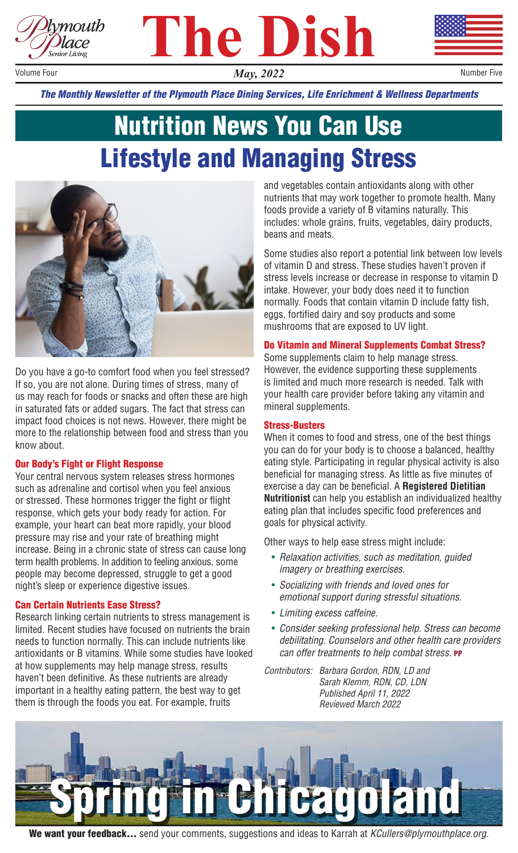





Volume Four

*May, 2022* Number Five

*The Monthly Newsletter of the Plymouth Place Dining Services, Life Enrichment & Wellness Departments*

## Nutrition News You Can Use Lifestyle and Managing Stress



Do you have a go-to comfort food when you feel stressed? If so, you are not alone. During times of stress, many of us may reach for foods or snacks and often these are high in saturated fats or added sugars. The fact that stress can impact food choices is not news. However, there might be more to the relationship between food and stress than you know about.

#### Our Body's Fight or Flight Response

Your central nervous system releases stress hormones such as adrenaline and cortisol when you feel anxious or stressed. These hormones trigger the fight or flight response, which gets your body ready for action. For example, your heart can beat more rapidly, your blood pressure may rise and your rate of breathing might increase. Being in a chronic state of stress can cause long term health problems. In addition to feeling anxious, some people may become depressed, struggle to get a good night's sleep or experience digestive issues.

#### Can Certain Nutrients Ease Stress?

Research linking certain nutrients to stress management is limited. Recent studies have focused on nutrients the brain needs to function normally. This can include nutrients like antioxidants or B vitamins. While some studies have looked at how supplements may help manage stress, results haven't been definitive. As these nutrients are already important in a healthy eating pattern, the best way to get them is through the foods you eat. For example, fruits

and vegetables contain antioxidants along with other nutrients that may work together to promote health. Many foods provide a variety of B vitamins naturally. This includes: whole grains, fruits, vegetables, dairy products, beans and meats.

Some studies also report a potential link between low levels of vitamin D and stress. These studies haven't proven if stress levels increase or decrease in response to vitamin D intake. However, your body does need it to function normally. Foods that contain vitamin D include fatty fish, eggs, fortified dairy and soy products and some mushrooms that are exposed to UV light.

### Do Vitamin and Mineral Supplements Combat Stress?

Some supplements claim to help manage stress. However, the evidence supporting these supplements is limited and much more research is needed. Talk with your health care provider before taking any vitamin and mineral supplements.

### Stress-Busters

When it comes to food and stress, one of the best things you can do for your body is to choose a balanced, healthy eating style. Participating in regular physical activity is also beneficial for managing stress. As little as five minutes of exercise a day can be beneficial. A **Registered Dietitian Nutritionist** can help you establish an individualized healthy eating plan that includes specific food preferences and goals for physical activity.

Other ways to help ease stress might include:

- *Relaxation activities, such as meditation, guided imagery or breathing exercises.*
- *Socializing with friends and loved ones for emotional support during stressful situations.*
- *Limiting excess caffeine.*
- *Consider seeking professional help. Stress can become debilitating. Counselors and other health care providers can offer treatments to help combat stress.* PP

*Contributors: Barbara Gordon, RDN, LD and Sarah Klemm, RDN, CD, LDN Published April 11, 2022 Reviewed March 2022*



We want your feedback… send your comments, suggestions and ideas to Karrah at *KCullers@plymouthplace.org.*